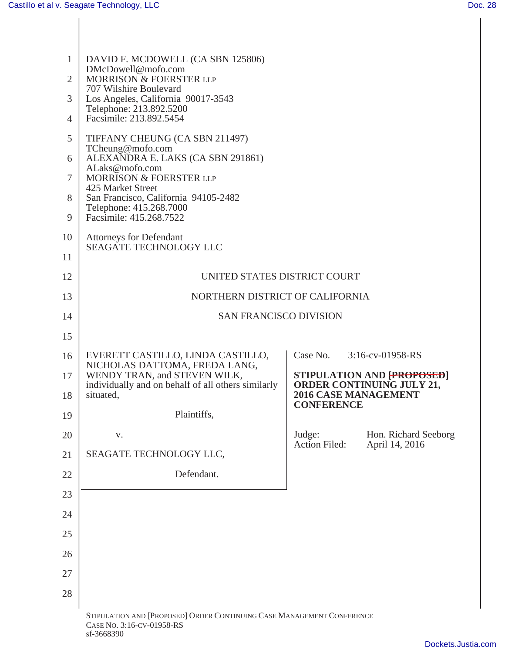| $\mathbf{1}$   | DAVID F. MCDOWELL (CA SBN 125806)<br>DMcDowell@mofo.com<br>MORRISON & FOERSTER LLP<br>707 Wilshire Boulevard<br>Los Angeles, California 90017-3543<br>Telephone: 213.892.5200<br>Facsimile: 213.892.5454 |                                                                   |  |  |  |
|----------------|----------------------------------------------------------------------------------------------------------------------------------------------------------------------------------------------------------|-------------------------------------------------------------------|--|--|--|
| $\overline{2}$ |                                                                                                                                                                                                          |                                                                   |  |  |  |
| 3              |                                                                                                                                                                                                          |                                                                   |  |  |  |
| $\overline{4}$ |                                                                                                                                                                                                          |                                                                   |  |  |  |
| 5              | TIFFANY CHEUNG (CA SBN 211497)                                                                                                                                                                           |                                                                   |  |  |  |
| 6              | TCheung@mofo.com<br>ALEXANDRA E. LAKS (CA SBN 291861)<br>ALaks@mofo.com<br>MORRISON & FOERSTER LLP<br>425 Market Street<br>San Francisco, California 94105-2482<br>Telephone: 415.268.7000               |                                                                   |  |  |  |
| $\tau$         |                                                                                                                                                                                                          |                                                                   |  |  |  |
| 8              |                                                                                                                                                                                                          |                                                                   |  |  |  |
| 9              | Facsimile: 415.268.7522                                                                                                                                                                                  |                                                                   |  |  |  |
| 10             | <b>Attorneys for Defendant</b><br><b>SEAGATE TECHNOLOGY LLC</b>                                                                                                                                          |                                                                   |  |  |  |
| 11             |                                                                                                                                                                                                          |                                                                   |  |  |  |
| 12             | UNITED STATES DISTRICT COURT                                                                                                                                                                             |                                                                   |  |  |  |
| 13             | NORTHERN DISTRICT OF CALIFORNIA                                                                                                                                                                          |                                                                   |  |  |  |
| 14             | <b>SAN FRANCISCO DIVISION</b>                                                                                                                                                                            |                                                                   |  |  |  |
| 15             |                                                                                                                                                                                                          |                                                                   |  |  |  |
| 16             | EVERETT CASTILLO, LINDA CASTILLO,<br>NICHOLAS DATTOMA, FREDA LANG,                                                                                                                                       | Case No.<br>3:16-cv-01958-RS                                      |  |  |  |
| 17             | WENDY TRAN, and STEVEN WILK,<br>individually and on behalf of all others similarly                                                                                                                       | <b>STIPULATION AND FROPOSED</b><br>ORDER CONTINUING JULY 21,      |  |  |  |
| 18             | situated,                                                                                                                                                                                                | <b>2016 CASE MANAGEMENT</b><br><b>CONFERENCE</b>                  |  |  |  |
| 19             | Plaintiffs,                                                                                                                                                                                              |                                                                   |  |  |  |
| 20             | V.                                                                                                                                                                                                       | Judge:<br>Hon. Richard Seeborg<br>Action Filed:<br>April 14, 2016 |  |  |  |
| 21             | SEAGATE TECHNOLOGY LLC,                                                                                                                                                                                  |                                                                   |  |  |  |
| 22             | Defendant.                                                                                                                                                                                               |                                                                   |  |  |  |
| 23             |                                                                                                                                                                                                          |                                                                   |  |  |  |
| 24             |                                                                                                                                                                                                          |                                                                   |  |  |  |
| 25             |                                                                                                                                                                                                          |                                                                   |  |  |  |
| 26             |                                                                                                                                                                                                          |                                                                   |  |  |  |
| 27             |                                                                                                                                                                                                          |                                                                   |  |  |  |
| 28             |                                                                                                                                                                                                          |                                                                   |  |  |  |
|                | STIPULATION AND [PROPOSED] ORDER CONTINUING CASE MANAGEMENT CONFERENCE<br>CASE No. 3:16-CV-01958-RS                                                                                                      |                                                                   |  |  |  |

sf-3668390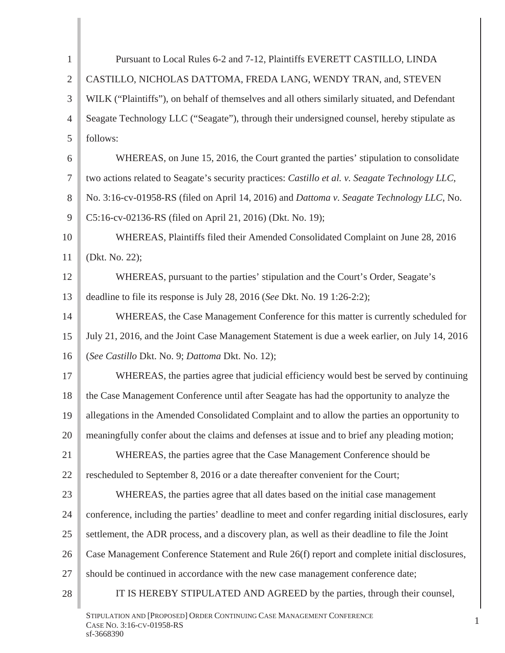| 1              | Pursuant to Local Rules 6-2 and 7-12, Plaintiffs EVERETT CASTILLO, LINDA                            |
|----------------|-----------------------------------------------------------------------------------------------------|
| $\overline{2}$ | CASTILLO, NICHOLAS DATTOMA, FREDA LANG, WENDY TRAN, and, STEVEN                                     |
| 3              | WILK ("Plaintiffs"), on behalf of themselves and all others similarly situated, and Defendant       |
| 4              | Seagate Technology LLC ("Seagate"), through their undersigned counsel, hereby stipulate as          |
| 5              | follows:                                                                                            |
| 6              | WHEREAS, on June 15, 2016, the Court granted the parties' stipulation to consolidate                |
| $\tau$         | two actions related to Seagate's security practices: Castillo et al. v. Seagate Technology LLC,     |
| 8              | No. 3:16-cv-01958-RS (filed on April 14, 2016) and Dattoma v. Seagate Technology LLC, No.           |
| 9              | C5:16-cv-02136-RS (filed on April 21, 2016) (Dkt. No. 19);                                          |
| 10             | WHEREAS, Plaintiffs filed their Amended Consolidated Complaint on June 28, 2016                     |
| 11             | (Dkt. No. 22);                                                                                      |
| 12             | WHEREAS, pursuant to the parties' stipulation and the Court's Order, Seagate's                      |
| 13             | deadline to file its response is July 28, 2016 (See Dkt. No. 19 1:26-2:2);                          |
| 14             | WHEREAS, the Case Management Conference for this matter is currently scheduled for                  |
| 15             | July 21, 2016, and the Joint Case Management Statement is due a week earlier, on July 14, 2016      |
| 16             | (See Castillo Dkt. No. 9; Dattoma Dkt. No. 12);                                                     |
| 17             | WHEREAS, the parties agree that judicial efficiency would best be served by continuing              |
| 18             | the Case Management Conference until after Seagate has had the opportunity to analyze the           |
| 19             | allegations in the Amended Consolidated Complaint and to allow the parties an opportunity to        |
| 20             | meaningfully confer about the claims and defenses at issue and to brief any pleading motion;        |
| 21             | WHEREAS, the parties agree that the Case Management Conference should be                            |
| 22             | rescheduled to September 8, 2016 or a date thereafter convenient for the Court;                     |
| 23             | WHEREAS, the parties agree that all dates based on the initial case management                      |
| 24             | conference, including the parties' deadline to meet and confer regarding initial disclosures, early |
| 25             | settlement, the ADR process, and a discovery plan, as well as their deadline to file the Joint      |
| 26             | Case Management Conference Statement and Rule 26(f) report and complete initial disclosures,        |
| 27             | should be continued in accordance with the new case management conference date;                     |
| 28             | IT IS HEREBY STIPULATED AND AGREED by the parties, through their counsel,                           |
|                | STIPULATION AND [PROPOSED] ORDER CONTINUING CASE MANAGEMENT CONFERENCE                              |

STIPULATION AND [PROPOSED] ORDER CONTINUING CASE MANAGEMENT CONFERENCE [109] [2012] [2013] [2013] [2013] [2013] [2013] [2013] [2013] [2013] [2013] [2013] [2013] [2013] [2013] [2013] [2013] [2013] [2013] [2013] [2013] [2013 sf-3668390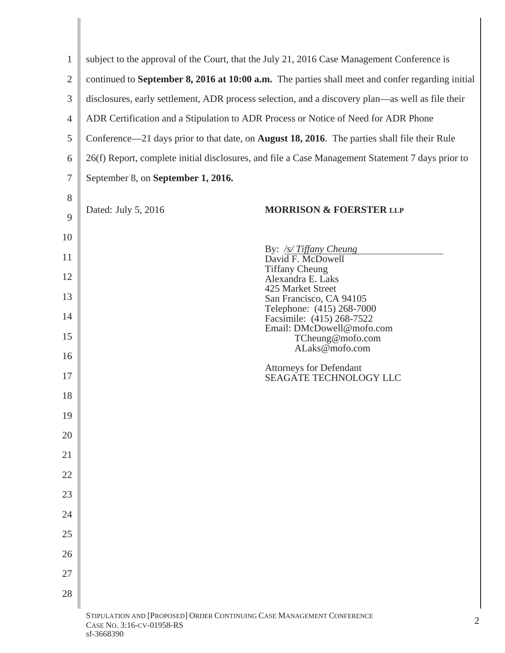| $\mathbf{1}$   |                                                                                                          | subject to the approval of the Court, that the July 21, 2016 Case Management Conference is       |  |  |  |
|----------------|----------------------------------------------------------------------------------------------------------|--------------------------------------------------------------------------------------------------|--|--|--|
| $\overline{2}$ |                                                                                                          | continued to September 8, 2016 at 10:00 a.m. The parties shall meet and confer regarding initial |  |  |  |
| 3              | disclosures, early settlement, ADR process selection, and a discovery plan—as well as file their         |                                                                                                  |  |  |  |
| $\overline{4}$ | ADR Certification and a Stipulation to ADR Process or Notice of Need for ADR Phone                       |                                                                                                  |  |  |  |
| 5              | Conference—21 days prior to that date, on <b>August 18, 2016</b> . The parties shall file their Rule     |                                                                                                  |  |  |  |
| 6              | 26(f) Report, complete initial disclosures, and file a Case Management Statement 7 days prior to         |                                                                                                  |  |  |  |
| 7              | September 8, on September 1, 2016.                                                                       |                                                                                                  |  |  |  |
| 8              |                                                                                                          |                                                                                                  |  |  |  |
| 9              | Dated: July 5, 2016                                                                                      | <b>MORRISON &amp; FOERSTER LLP</b>                                                               |  |  |  |
| 10             |                                                                                                          |                                                                                                  |  |  |  |
| 11             |                                                                                                          | By: <u>/s/ Tiffany Cheung</u><br>David F. McDowell                                               |  |  |  |
| 12             |                                                                                                          | Tiffany Cheung<br>Alexandra E. Laks<br>425 Market Street                                         |  |  |  |
| 13             |                                                                                                          | San Francisco, CA 94105<br>Telephone: (415) 268-7000                                             |  |  |  |
| 14             |                                                                                                          | Facsimile: (415) 268-7522<br>Email: DMcDowell@mofo.com                                           |  |  |  |
| 15             |                                                                                                          | TCheung@mofo.com<br>ALaks@mofo.com                                                               |  |  |  |
| 16             |                                                                                                          | <b>Attorneys for Defendant</b>                                                                   |  |  |  |
| 17             |                                                                                                          | SEAGATE TECHNOLOGY LLC                                                                           |  |  |  |
| 18             |                                                                                                          |                                                                                                  |  |  |  |
| 19             |                                                                                                          |                                                                                                  |  |  |  |
| 20             |                                                                                                          |                                                                                                  |  |  |  |
| 21             |                                                                                                          |                                                                                                  |  |  |  |
| 22             |                                                                                                          |                                                                                                  |  |  |  |
| 23             |                                                                                                          |                                                                                                  |  |  |  |
| 24             |                                                                                                          |                                                                                                  |  |  |  |
| 25             |                                                                                                          |                                                                                                  |  |  |  |
| 26<br>27       |                                                                                                          |                                                                                                  |  |  |  |
| 28             |                                                                                                          |                                                                                                  |  |  |  |
|                |                                                                                                          |                                                                                                  |  |  |  |
|                | STIPULATION AND [PROPOSED] ORDER CONTINUING CASE MANAGEMENT CONFERENCE<br>2<br>CASE No. 3:16-CV-01958-RS |                                                                                                  |  |  |  |

## sf-3668390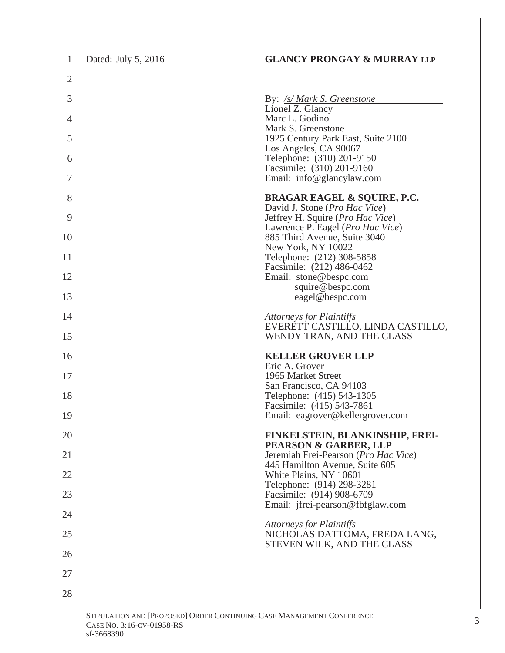| $\mathbf{1}$   | Dated: July 5, 2016                            | <b>GLANCY PRONGAY &amp; MURRAY LLP</b>                                          |
|----------------|------------------------------------------------|---------------------------------------------------------------------------------|
| $\overline{2}$ |                                                |                                                                                 |
| 3              |                                                | By: /s/ Mark S. Greenstone                                                      |
| 4              |                                                | Lionel Z. Glancy<br>Marc L. Godino                                              |
| 5              |                                                | Mark S. Greenstone<br>1925 Century Park East, Suite 2100                        |
| 6              |                                                | Los Angeles, CA 90067<br>Telephone: (310) 201-9150<br>Facsimile: (310) 201-9160 |
| 7              |                                                | Email: info@glancylaw.com                                                       |
| 8              |                                                | <b>BRAGAR EAGEL &amp; SQUIRE, P.C.</b><br>David J. Stone (Pro Hac Vice)         |
| 9              |                                                | Jeffrey H. Squire (Pro Hac Vice)<br>Lawrence P. Eagel (Pro Hac Vice)            |
| 10             |                                                | 885 Third Avenue, Suite 3040<br>New York, NY 10022                              |
| 11             |                                                | Telephone: (212) 308-5858<br>Facsimile: (212) 486-0462                          |
| 12             |                                                | Email: stone@bespc.com<br>squire@bespc.com                                      |
| 13             |                                                | eagel@bespc.com                                                                 |
| 14             |                                                | Attorneys for Plaintiffs<br>EVERETT CASTILLO, LINDA CASTILLO,                   |
| 15             |                                                | WENDY TRAN, AND THE CLASS                                                       |
| 16             |                                                | <b>KELLER GROVER LLP</b><br>Eric A. Grover                                      |
| 17             |                                                | 1965 Market Street<br>San Francisco, CA 94103                                   |
| 18             |                                                | Telephone: (415) 543-1305<br>Facsimile: (415) 543-7861                          |
| 19             |                                                | Email: eagrover@kellergrover.com                                                |
| 20             |                                                | <b>FINKELSTEIN, BLANKINSHIP, FREI-</b><br>PEARSON & GARBER, LLP                 |
| 21             |                                                | Jeremiah Frei-Pearson (Pro Hac Vice)<br>445 Hamilton Avenue, Suite 605          |
| 22             |                                                | White Plains, NY 10601<br>Telephone: (914) 298-3281                             |
| 23             |                                                | Facsimile: (914) 908-6709<br>Email: jfrei-pearson@fbfglaw.com                   |
| 24             |                                                | <b>Attorneys for Plaintiffs</b>                                                 |
| 25             |                                                | NICHOLAS DATTOMA, FREDA LANG,<br>STEVEN WILK, AND THE CLASS                     |
| 26             |                                                |                                                                                 |
| 27             |                                                |                                                                                 |
| 28             |                                                |                                                                                 |
|                | Drobosed Obder Computing Case Management Compe |                                                                                 |

STIPULATION AND [PROPOSED] ORDER CONTINUING CASE MANAGEMENT CONFERENCE 3<br>Case No. 3:16-cv-01958-RS CASE No. 3:16-CV-01958-RS<br>sf-3668390